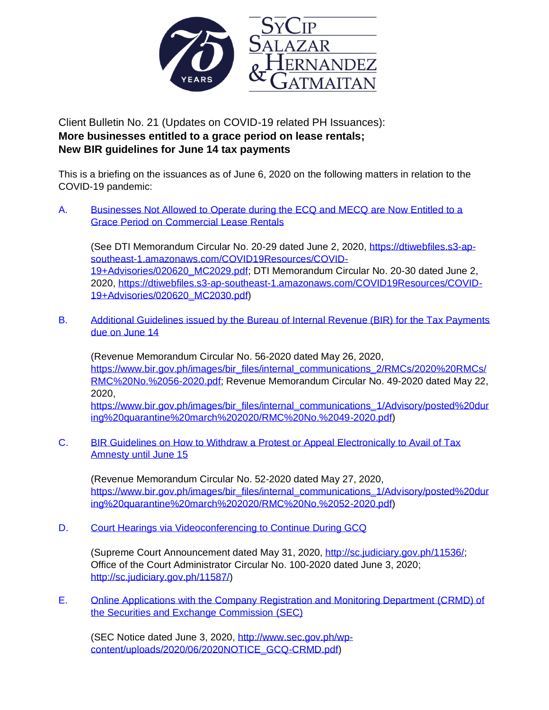

Client Bulletin No. 21 (Updates on COVID-19 related PH Issuances): **More businesses entitled to a grace period on lease rentals; New BIR guidelines for June 14 tax payments**

This is a briefing on the issuances as of June 6, 2020 on the following matters in relation to the COVID-19 pandemic:

A. Businesses Not Allowed to Operate during the ECQ and MECQ are Now Entitled to a [Grace Period on Commercial Lease Rentals](#page--1-0)

(See DTI Memorandum Circular No. 20-29 dated June 2, 2020, [https://dtiwebfiles.s3-ap](https://dtiwebfiles.s3-ap-southeast-1.amazonaws.com/COVID19Resources/COVID-19+Advisories/020620_MC2029.pdf)[southeast-1.amazonaws.com/COVID19Resources/COVID-](https://dtiwebfiles.s3-ap-southeast-1.amazonaws.com/COVID19Resources/COVID-19+Advisories/020620_MC2029.pdf)[19+Advisories/020620\\_MC2029.pdf;](https://dtiwebfiles.s3-ap-southeast-1.amazonaws.com/COVID19Resources/COVID-19+Advisories/020620_MC2029.pdf) DTI Memorandum Circular No. 20-30 dated June 2, 2020, [https://dtiwebfiles.s3-ap-southeast-1.amazonaws.com/COVID19Resources/COVID-](https://dtiwebfiles.s3-ap-southeast-1.amazonaws.com/COVID19Resources/COVID-19+Advisories/020620_MC2030.pdf)[19+Advisories/020620\\_MC2030.pdf\)](https://dtiwebfiles.s3-ap-southeast-1.amazonaws.com/COVID19Resources/COVID-19+Advisories/020620_MC2030.pdf)

B. [Additional Guidelines issued by the Bureau of Internal Revenue \(BIR\) for the Tax Payments](#page--1-0)  [due on June 14](#page-4-0)

(Revenue Memorandum Circular No. 56-2020 dated May 26, 2020, [https://www.bir.gov.ph/images/bir\\_files/internal\\_communications\\_2/RMCs/2020%20RMCs/](https://www.bir.gov.ph/images/bir_files/internal_communications_2/RMCs/2020%20RMCs/RMC%20No.%2056-2020.pdf) [RMC%20No.%2056-2020.pdf;](https://www.bir.gov.ph/images/bir_files/internal_communications_2/RMCs/2020%20RMCs/RMC%20No.%2056-2020.pdf) Revenue Memorandum Circular No. 49-2020 dated May 22, 2020, [https://www.bir.gov.ph/images/bir\\_files/internal\\_communications\\_1/Advisory/posted%20dur](https://www.bir.gov.ph/images/bir_files/internal_communications_1/Advisory/posted%20during%20quarantine%20march%202020/RMC%20No.%2049-2020.pdf)

[ing%20quarantine%20march%202020/RMC%20No.%2049-2020.pdf\)](https://www.bir.gov.ph/images/bir_files/internal_communications_1/Advisory/posted%20during%20quarantine%20march%202020/RMC%20No.%2049-2020.pdf)

C. [BIR Guidelines on How to Withdraw a Protest or Appeal Electronically to Avail of Tax](#page-5-0)  [Amnesty until June 15](#page-5-0)

(Revenue Memorandum Circular No. 52-2020 dated May 27, 2020, [https://www.bir.gov.ph/images/bir\\_files/internal\\_communications\\_1/Advisory/posted%20dur](https://www.bir.gov.ph/images/bir_files/internal_communications_1/Advisory/posted%20during%20quarantine%20march%202020/RMC%20No.%2052-2020.pdf) [ing%20quarantine%20march%202020/RMC%20No.%2052-2020.pdf\)](https://www.bir.gov.ph/images/bir_files/internal_communications_1/Advisory/posted%20during%20quarantine%20march%202020/RMC%20No.%2052-2020.pdf)

D. [Court Hearings via Videoconferencing to Continue During GCQ](#page-6-0)

(Supreme Court Announcement dated May 31, 2020, [http://sc.judiciary.gov.ph/11536/;](http://sc.judiciary.gov.ph/11536/) Office of the Court Administrator Circular No. 100-2020 dated June 3, 2020; [http://sc.judiciary.gov.ph/11587/\)](http://sc.judiciary.gov.ph/11587/)

E. [Online Applications with the Company Registration and Monitoring Department \(CRMD\) of](#page-6-1)  [the Securities and Exchange Commission \(SEC\)](#page-6-1)

(SEC Notice dated June 3, 2020, [http://www.sec.gov.ph/wp](http://www.sec.gov.ph/wp-content/uploads/2020/06/2020NOTICE_GCQ-CRMD.pdf)[content/uploads/2020/06/2020NOTICE\\_GCQ-CRMD.pdf\)](http://www.sec.gov.ph/wp-content/uploads/2020/06/2020NOTICE_GCQ-CRMD.pdf)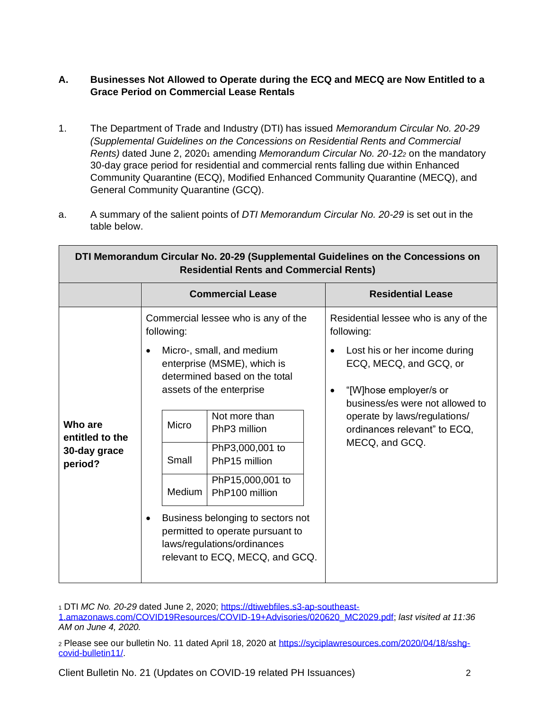# <span id="page-1-0"></span>**A. Businesses Not Allowed to Operate during the ECQ and MECQ are Now Entitled to a Grace Period on Commercial Lease Rentals**

- 1. The Department of Trade and Industry (DTI) has issued *Memorandum Circular No. 20-29 (Supplemental Guidelines on the Concessions on Residential Rents and Commercial Rents*) dated June 2, 20201 amending *Memorandum Circular No. 20-12*<sup>2</sup> on the mandatory 30-day grace period for residential and commercial rents falling due within Enhanced Community Quarantine (ECQ), Modified Enhanced Community Quarantine (MECQ), and General Community Quarantine (GCQ).
- a. A summary of the salient points of *DTI Memorandum Circular No. 20-29* is set out in the table below.

Н

| DTI Memorandum Circular No. 20-29 (Supplemental Guidelines on the Concessions on<br><b>Residential Rents and Commercial Rents)</b> |                                                                                                                                                      |                                                                   |                                                                                                                                                |  |  |  |
|------------------------------------------------------------------------------------------------------------------------------------|------------------------------------------------------------------------------------------------------------------------------------------------------|-------------------------------------------------------------------|------------------------------------------------------------------------------------------------------------------------------------------------|--|--|--|
|                                                                                                                                    | <b>Commercial Lease</b>                                                                                                                              |                                                                   | <b>Residential Lease</b>                                                                                                                       |  |  |  |
| Who are<br>entitled to the<br>30-day grace<br>period?                                                                              | Commercial lessee who is any of the<br>following:                                                                                                    |                                                                   | Residential lessee who is any of the<br>following:                                                                                             |  |  |  |
|                                                                                                                                    | Micro-, small, and medium<br>$\bullet$<br>enterprise (MSME), which is<br>determined based on the total<br>assets of the enterprise                   |                                                                   | Lost his or her income during<br>$\bullet$<br>ECQ, MECQ, and GCQ, or<br>"[W]hose employer/s or<br>$\bullet$<br>business/es were not allowed to |  |  |  |
|                                                                                                                                    | Micro<br>Small                                                                                                                                       | Not more than<br>PhP3 million<br>PhP3,000,001 to<br>PhP15 million | operate by laws/regulations/<br>ordinances relevant" to ECQ,<br>MECQ, and GCQ.                                                                 |  |  |  |
|                                                                                                                                    | <b>Medium</b>                                                                                                                                        | PhP15,000,001 to<br>PhP100 million                                |                                                                                                                                                |  |  |  |
|                                                                                                                                    | Business belonging to sectors not<br>$\bullet$<br>permitted to operate pursuant to<br>laws/regulations/ordinances<br>relevant to ECQ, MECQ, and GCQ. |                                                                   |                                                                                                                                                |  |  |  |

<sup>1</sup> DTI *MC No. 20-29* dated June 2, 2020; [https://dtiwebfiles.s3-ap-southeast-](https://dtiwebfiles.s3-ap-southeast-1.amazonaws.com/COVID19Resources/COVID-19+Advisories/020620_MC2029.pdf)

[1.amazonaws.com/COVID19Resources/COVID-19+Advisories/020620\\_MC2029.pdf;](https://dtiwebfiles.s3-ap-southeast-1.amazonaws.com/COVID19Resources/COVID-19+Advisories/020620_MC2029.pdf) *last visited at 11:36 AM on June 4, 2020.*

<sup>2</sup> Please see our bulletin No. 11 dated April 18, 2020 at [https://syciplawresources.com/2020/04/18/sshg](https://syciplawresources.com/2020/04/18/sshg-covid-bulletin11/)[covid-bulletin11/.](https://syciplawresources.com/2020/04/18/sshg-covid-bulletin11/)

Client Bulletin No. 21 (Updates on COVID-19 related PH Issuances) 2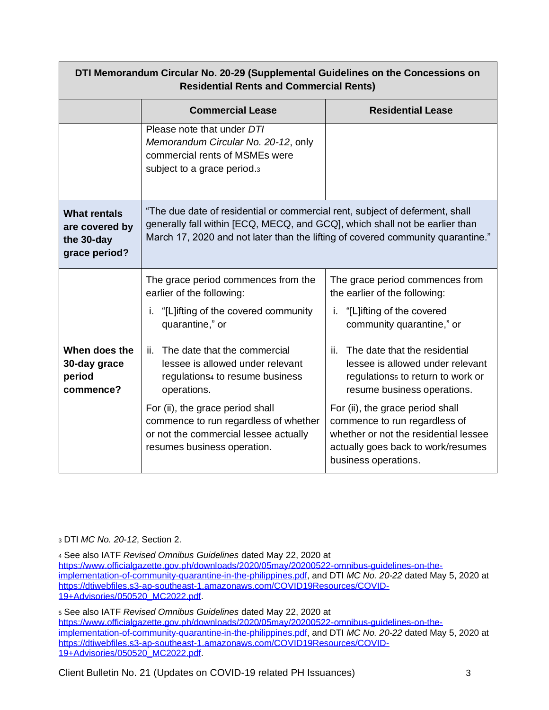| DTI Memorandum Circular No. 20-29 (Supplemental Guidelines on the Concessions on<br><b>Residential Rents and Commercial Rents)</b> |                                                                                                                                                                                                                                                                |                                                                                                                                                                                                                                                                                        |  |  |
|------------------------------------------------------------------------------------------------------------------------------------|----------------------------------------------------------------------------------------------------------------------------------------------------------------------------------------------------------------------------------------------------------------|----------------------------------------------------------------------------------------------------------------------------------------------------------------------------------------------------------------------------------------------------------------------------------------|--|--|
|                                                                                                                                    | <b>Commercial Lease</b>                                                                                                                                                                                                                                        | <b>Residential Lease</b>                                                                                                                                                                                                                                                               |  |  |
|                                                                                                                                    | Please note that under DTI<br>Memorandum Circular No. 20-12, only<br>commercial rents of MSMEs were<br>subject to a grace period.3                                                                                                                             |                                                                                                                                                                                                                                                                                        |  |  |
| <b>What rentals</b><br>are covered by<br>the 30-day<br>grace period?                                                               | "The due date of residential or commercial rent, subject of deferment, shall<br>generally fall within [ECQ, MECQ, and GCQ], which shall not be earlier than<br>March 17, 2020 and not later than the lifting of covered community quarantine."                 |                                                                                                                                                                                                                                                                                        |  |  |
| When does the<br>30-day grace<br>period<br>commence?                                                                               | The grace period commences from the<br>earlier of the following:<br>"[L]ifting of the covered community"<br>i.<br>quarantine," or<br>The date that the commercial<br>ii.<br>lessee is allowed under relevant<br>regulations4 to resume business<br>operations. | The grace period commences from<br>the earlier of the following:<br>i. "[L]ifting of the covered<br>community quarantine," or<br>ii. The date that the residential<br>lessee is allowed under relevant<br>regulations <sub>5</sub> to return to work or<br>resume business operations. |  |  |
|                                                                                                                                    | For (ii), the grace period shall<br>commence to run regardless of whether<br>or not the commercial lessee actually<br>resumes business operation.                                                                                                              | For (ii), the grace period shall<br>commence to run regardless of<br>whether or not the residential lessee<br>actually goes back to work/resumes<br>business operations.                                                                                                               |  |  |

<sup>3</sup> DTI *MC No. 20-12*, Section 2.

<sup>4</sup> See also IATF *Revised Omnibus Guidelines* dated May 22, 2020 at [https://www.officialgazette.gov.ph/downloads/2020/05may/20200522-omnibus-guidelines-on-the](https://www.officialgazette.gov.ph/downloads/2020/05may/20200522-omnibus-guidelines-on-the-implementation-of-community-quarantine-in-the-philippines.pdf)[implementation-of-community-quarantine-in-the-philippines.pdf,](https://www.officialgazette.gov.ph/downloads/2020/05may/20200522-omnibus-guidelines-on-the-implementation-of-community-quarantine-in-the-philippines.pdf) and DTI *MC No. 20-22* dated May 5, 2020 at [https://dtiwebfiles.s3-ap-southeast-1.amazonaws.com/COVID19Resources/COVID-](https://dtiwebfiles.s3-ap-southeast-1.amazonaws.com/COVID19Resources/COVID-19+Advisories/050520_MC2022.pdf)[19+Advisories/050520\\_MC2022.pdf.](https://dtiwebfiles.s3-ap-southeast-1.amazonaws.com/COVID19Resources/COVID-19+Advisories/050520_MC2022.pdf)

<sup>5</sup> See also IATF *Revised Omnibus Guidelines* dated May 22, 2020 at [https://www.officialgazette.gov.ph/downloads/2020/05may/20200522-omnibus-guidelines-on-the](https://www.officialgazette.gov.ph/downloads/2020/05may/20200522-omnibus-guidelines-on-the-implementation-of-community-quarantine-in-the-philippines.pdf)[implementation-of-community-quarantine-in-the-philippines.pdf,](https://www.officialgazette.gov.ph/downloads/2020/05may/20200522-omnibus-guidelines-on-the-implementation-of-community-quarantine-in-the-philippines.pdf) and DTI *MC No. 20-22* dated May 5, 2020 at [https://dtiwebfiles.s3-ap-southeast-1.amazonaws.com/COVID19Resources/COVID-](https://dtiwebfiles.s3-ap-southeast-1.amazonaws.com/COVID19Resources/COVID-19+Advisories/050520_MC2022.pdf)[19+Advisories/050520\\_MC2022.pdf.](https://dtiwebfiles.s3-ap-southeast-1.amazonaws.com/COVID19Resources/COVID-19+Advisories/050520_MC2022.pdf)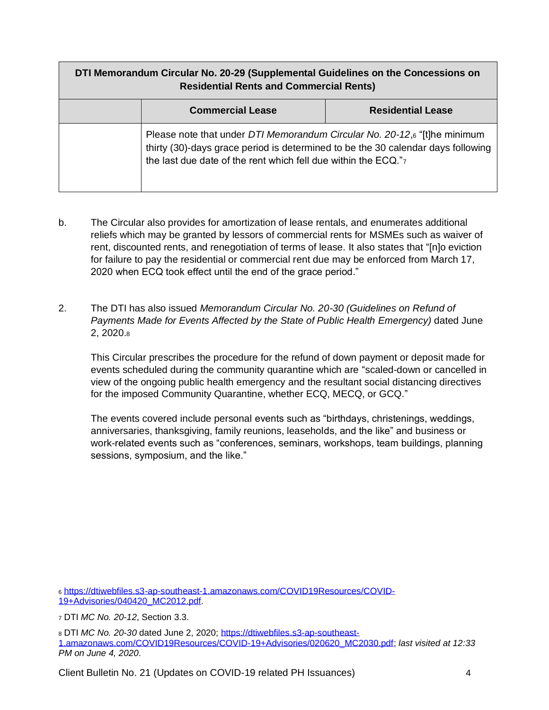| DTI Memorandum Circular No. 20-29 (Supplemental Guidelines on the Concessions on<br><b>Residential Rents and Commercial Rents)</b> |                                                                                                                                                                                                                                 |                          |  |  |
|------------------------------------------------------------------------------------------------------------------------------------|---------------------------------------------------------------------------------------------------------------------------------------------------------------------------------------------------------------------------------|--------------------------|--|--|
|                                                                                                                                    | <b>Commercial Lease</b>                                                                                                                                                                                                         | <b>Residential Lease</b> |  |  |
|                                                                                                                                    | Please note that under DTI Memorandum Circular No. 20-12,6 "[t]he minimum<br>thirty (30)-days grace period is determined to be the 30 calendar days following<br>the last due date of the rent which fell due within the ECQ."7 |                          |  |  |

- b. The Circular also provides for amortization of lease rentals, and enumerates additional reliefs which may be granted by lessors of commercial rents for MSMEs such as waiver of rent, discounted rents, and renegotiation of terms of lease. It also states that "[n]o eviction for failure to pay the residential or commercial rent due may be enforced from March 17, 2020 when ECQ took effect until the end of the grace period."
- 2. The DTI has also issued *Memorandum Circular No. 20-30 (Guidelines on Refund of Payments Made for Events Affected by the State of Public Health Emergency)* dated June 2, 2020.<sup>8</sup>

This Circular prescribes the procedure for the refund of down payment or deposit made for events scheduled during the community quarantine which are "scaled-down or cancelled in view of the ongoing public health emergency and the resultant social distancing directives for the imposed Community Quarantine, whether ECQ, MECQ, or GCQ."

The events covered include personal events such as "birthdays, christenings, weddings, anniversaries, thanksgiving, family reunions, leaseholds, and the like" and business or work-related events such as "conferences, seminars, workshops, team buildings, planning sessions, symposium, and the like."

<sup>6</sup> [https://dtiwebfiles.s3-ap-southeast-1.amazonaws.com/COVID19Resources/COVID-](https://dtiwebfiles.s3-ap-southeast-1.amazonaws.com/COVID19Resources/COVID-19+Advisories/040420_MC2012.pdf)[19+Advisories/040420\\_MC2012.pdf.](https://dtiwebfiles.s3-ap-southeast-1.amazonaws.com/COVID19Resources/COVID-19+Advisories/040420_MC2012.pdf)

<sup>7</sup> DTI *MC No. 20-12*, Section 3.3.

<sup>8</sup> DTI *MC No. 20-30* dated June 2, 2020; [https://dtiwebfiles.s3-ap-southeast-](https://dtiwebfiles.s3-ap-southeast-1.amazonaws.com/COVID19Resources/COVID-19+Advisories/020620_MC2030.pdf)[1.amazonaws.com/COVID19Resources/COVID-19+Advisories/020620\\_MC2030.pdf;](https://dtiwebfiles.s3-ap-southeast-1.amazonaws.com/COVID19Resources/COVID-19+Advisories/020620_MC2030.pdf) *last visited at 12:33 PM on June 4, 2020*.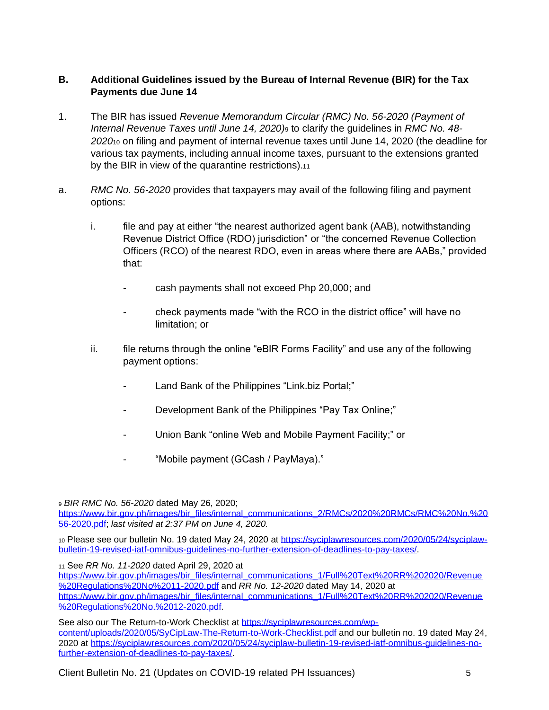### <span id="page-4-0"></span>**B. Additional Guidelines issued by the Bureau of Internal Revenue (BIR) for the Tax Payments due June 14**

- 1. The BIR has issued *Revenue Memorandum Circular (RMC) No. 56-2020 (Payment of Internal Revenue Taxes until June 14, 2020)*<sup>9</sup> to clarify the guidelines in *RMC No. 48- 2020*<sup>10</sup> on filing and payment of internal revenue taxes until June 14, 2020 (the deadline for various tax payments, including annual income taxes, pursuant to the extensions granted by the BIR in view of the quarantine restrictions).<sup>11</sup>
- a. *RMC No. 56-2020* provides that taxpayers may avail of the following filing and payment options:
	- i. file and pay at either "the nearest authorized agent bank (AAB), notwithstanding Revenue District Office (RDO) jurisdiction" or "the concerned Revenue Collection Officers (RCO) of the nearest RDO, even in areas where there are AABs," provided that:
		- cash payments shall not exceed Php 20,000; and
		- check payments made "with the RCO in the district office" will have no limitation; or
	- ii. file returns through the online "eBIR Forms Facility" and use any of the following payment options:
		- Land Bank of the Philippines "Link.biz Portal;"
		- Development Bank of the Philippines "Pay Tax Online;"
		- Union Bank "online Web and Mobile Payment Facility;" or
		- "Mobile payment (GCash / PayMaya)."

<sup>9</sup> *BIR RMC No. 56-2020* dated May 26, 2020;

[https://www.bir.gov.ph/images/bir\\_files/internal\\_communications\\_2/RMCs/2020%20RMCs/RMC%20No.%20](https://www.bir.gov.ph/images/bir_files/internal_communications_2/RMCs/2020%20RMCs/RMC%20No.%2056-2020.pdf) [56-2020.pdf;](https://www.bir.gov.ph/images/bir_files/internal_communications_2/RMCs/2020%20RMCs/RMC%20No.%2056-2020.pdf) *last visited at 2:37 PM on June 4, 2020.*

10 Please see our bulletin No. 19 dated May 24, 2020 at [https://syciplawresources.com/2020/05/24/syciplaw](https://syciplawresources.com/2020/05/24/syciplaw-bulletin-19-revised-iatf-omnibus-guidelines-no-further-extension-of-deadlines-to-pay-taxes/)[bulletin-19-revised-iatf-omnibus-guidelines-no-further-extension-of-deadlines-to-pay-taxes/.](https://syciplawresources.com/2020/05/24/syciplaw-bulletin-19-revised-iatf-omnibus-guidelines-no-further-extension-of-deadlines-to-pay-taxes/)

<sup>11</sup> See *RR No. 11-2020* dated April 29, 2020 at

[https://www.bir.gov.ph/images/bir\\_files/internal\\_communications\\_1/Full%20Text%20RR%202020/Revenue](https://www.bir.gov.ph/images/bir_files/internal_communications_1/Full%20Text%20RR%202020/Revenue%20Regulations%20No%2011-2020.pdf) [%20Regulations%20No%2011-2020.pdf](https://www.bir.gov.ph/images/bir_files/internal_communications_1/Full%20Text%20RR%202020/Revenue%20Regulations%20No%2011-2020.pdf) and *RR No. 12-2020* dated May 14, 2020 at [https://www.bir.gov.ph/images/bir\\_files/internal\\_communications\\_1/Full%20Text%20RR%202020/Revenue](https://www.bir.gov.ph/images/bir_files/internal_communications_1/Full%20Text%20RR%202020/Revenue%20Regulations%20No.%2012-2020.pdf) [%20Regulations%20No.%2012-2020.pdf.](https://www.bir.gov.ph/images/bir_files/internal_communications_1/Full%20Text%20RR%202020/Revenue%20Regulations%20No.%2012-2020.pdf)

See also our The Return-to-Work Checklist at [https://syciplawresources.com/wp](https://syciplawresources.com/wp-content/uploads/2020/05/SyCipLaw-The-Return-to-Work-Checklist.pdf)[content/uploads/2020/05/SyCipLaw-The-Return-to-Work-Checklist.pdf](https://syciplawresources.com/wp-content/uploads/2020/05/SyCipLaw-The-Return-to-Work-Checklist.pdf) and our bulletin no. 19 dated May 24, 2020 at [https://syciplawresources.com/2020/05/24/syciplaw-bulletin-19-revised-iatf-omnibus-guidelines-no](https://syciplawresources.com/2020/05/24/syciplaw-bulletin-19-revised-iatf-omnibus-guidelines-no-further-extension-of-deadlines-to-pay-taxes/)[further-extension-of-deadlines-to-pay-taxes/.](https://syciplawresources.com/2020/05/24/syciplaw-bulletin-19-revised-iatf-omnibus-guidelines-no-further-extension-of-deadlines-to-pay-taxes/)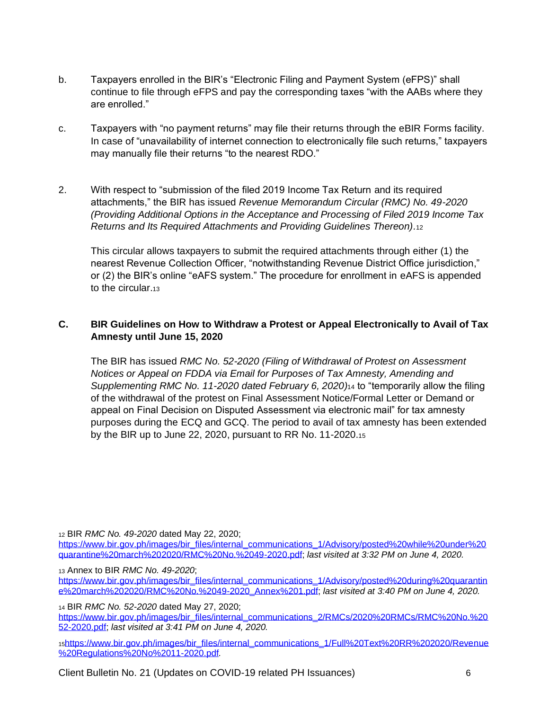- b. Taxpayers enrolled in the BIR's "Electronic Filing and Payment System (eFPS)" shall continue to file through eFPS and pay the corresponding taxes "with the AABs where they are enrolled."
- c. Taxpayers with "no payment returns" may file their returns through the eBIR Forms facility. In case of "unavailability of internet connection to electronically file such returns," taxpayers may manually file their returns "to the nearest RDO."
- 2. With respect to "submission of the filed 2019 Income Tax Return and its required attachments," the BIR has issued *Revenue Memorandum Circular (RMC) No. 49-2020 (Providing Additional Options in the Acceptance and Processing of Filed 2019 Income Tax Returns and Its Required Attachments and Providing Guidelines Thereon).*<sup>12</sup>

This circular allows taxpayers to submit the required attachments through either (1) the nearest Revenue Collection Officer, "notwithstanding Revenue District Office jurisdiction," or (2) the BIR's online "eAFS system." The procedure for enrollment in eAFS is appended to the circular.<sup>13</sup>

## <span id="page-5-0"></span>**C. BIR Guidelines on How to Withdraw a Protest or Appeal Electronically to Avail of Tax Amnesty until June 15, 2020**

The BIR has issued *RMC No. 52-2020 (Filing of Withdrawal of Protest on Assessment Notices or Appeal on FDDA via Email for Purposes of Tax Amnesty, Amending and Supplementing RMC No. 11-2020 dated February 6, 2020)*<sup>14</sup> to "temporarily allow the filing of the withdrawal of the protest on Final Assessment Notice/Formal Letter or Demand or appeal on Final Decision on Disputed Assessment via electronic mail" for tax amnesty purposes during the ECQ and GCQ. The period to avail of tax amnesty has been extended by the BIR up to June 22, 2020, pursuant to RR No. 11-2020.<sup>15</sup>

<sup>12</sup> BIR *RMC No. 49-2020* dated May 22, 2020;

[https://www.bir.gov.ph/images/bir\\_files/internal\\_communications\\_1/Advisory/posted%20while%20under%20](https://www.bir.gov.ph/images/bir_files/internal_communications_1/Advisory/posted%20while%20under%20quarantine%20march%202020/RMC%20No.%2049-2020.pdf) [quarantine%20march%202020/RMC%20No.%2049-2020.pdf;](https://www.bir.gov.ph/images/bir_files/internal_communications_1/Advisory/posted%20while%20under%20quarantine%20march%202020/RMC%20No.%2049-2020.pdf) *last visited at 3:32 PM on June 4, 2020.*

<sup>13</sup> Annex to BIR *RMC No. 49-2020*;

[https://www.bir.gov.ph/images/bir\\_files/internal\\_communications\\_1/Advisory/posted%20during%20quarantin](https://www.bir.gov.ph/images/bir_files/internal_communications_1/Advisory/posted%20during%20quarantine%20march%202020/RMC%20No.%2049-2020_Annex%201.pdf) [e%20march%202020/RMC%20No.%2049-2020\\_Annex%201.pdf;](https://www.bir.gov.ph/images/bir_files/internal_communications_1/Advisory/posted%20during%20quarantine%20march%202020/RMC%20No.%2049-2020_Annex%201.pdf) *last visited at 3:40 PM on June 4, 2020.*

<sup>14</sup> BIR *RMC No. 52-2020* dated May 27, 2020; [https://www.bir.gov.ph/images/bir\\_files/internal\\_communications\\_2/RMCs/2020%20RMCs/RMC%20No.%20](https://www.bir.gov.ph/images/bir_files/internal_communications_2/RMCs/2020%20RMCs/RMC%20No.%2052-2020.pdf) [52-2020.pdf;](https://www.bir.gov.ph/images/bir_files/internal_communications_2/RMCs/2020%20RMCs/RMC%20No.%2052-2020.pdf) *last visited at 3:41 PM on June 4, 2020.*

<sup>15</sup>[https://www.bir.gov.ph/images/bir\\_files/internal\\_communications\\_1/Full%20Text%20RR%202020/Revenue](https://www.bir.gov.ph/images/bir_files/internal_communications_1/Full%20Text%20RR%202020/Revenue%20Regulations%20No%2011-2020.pdf) [%20Regulations%20No%2011-2020.pdf](https://www.bir.gov.ph/images/bir_files/internal_communications_1/Full%20Text%20RR%202020/Revenue%20Regulations%20No%2011-2020.pdf)*.*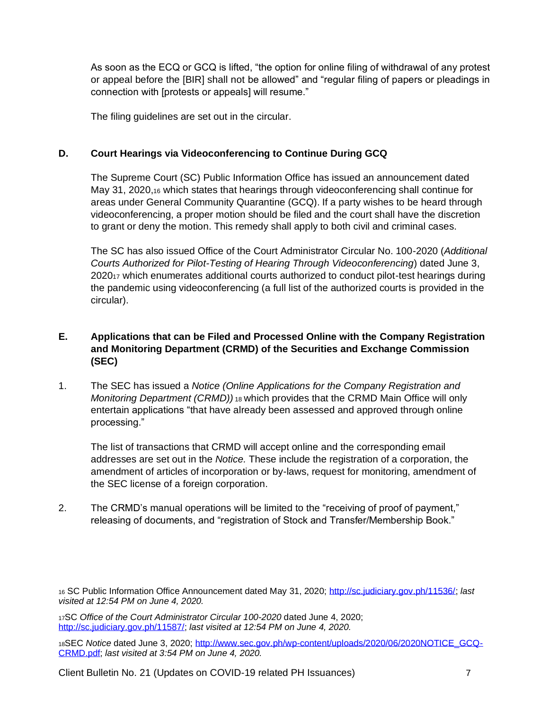As soon as the ECQ or GCQ is lifted, "the option for online filing of withdrawal of any protest or appeal before the [BIR] shall not be allowed" and "regular filing of papers or pleadings in connection with [protests or appeals] will resume."

The filing guidelines are set out in the circular.

# <span id="page-6-0"></span>**D. Court Hearings via Videoconferencing to Continue During GCQ**

The Supreme Court (SC) Public Information Office has issued an announcement dated May 31, 2020,<sup>16</sup> which states that hearings through videoconferencing shall continue for areas under General Community Quarantine (GCQ). If a party wishes to be heard through videoconferencing, a proper motion should be filed and the court shall have the discretion to grant or deny the motion. This remedy shall apply to both civil and criminal cases.

The SC has also issued Office of the Court Administrator Circular No. 100-2020 (*Additional Courts Authorized for Pilot-Testing of Hearing Through Videoconferencing*) dated June 3, 2020<sup>17</sup> which enumerates additional courts authorized to conduct pilot-test hearings during the pandemic using videoconferencing (a full list of the authorized courts is provided in the circular).

# <span id="page-6-1"></span>**E. Applications that can be Filed and Processed Online with the Company Registration and Monitoring Department (CRMD) of the Securities and Exchange Commission (SEC)**

1. The SEC has issued a *Notice (Online Applications for the Company Registration and Monitoring Department (CRMD))* <sup>18</sup> which provides that the CRMD Main Office will only entertain applications "that have already been assessed and approved through online processing."

The list of transactions that CRMD will accept online and the corresponding email addresses are set out in the *Notice.* These include the registration of a corporation, the amendment of articles of incorporation or by-laws, request for monitoring, amendment of the SEC license of a foreign corporation.

2. The CRMD's manual operations will be limited to the "receiving of proof of payment," releasing of documents, and "registration of Stock and Transfer/Membership Book."

<sup>16</sup> SC Public Information Office Announcement dated May 31, 2020; [http://sc.judiciary.gov.ph/11536/;](http://sc.judiciary.gov.ph/11536/) *last visited at 12:54 PM on June 4, 2020.*

<sup>17</sup>SC *Office of the Court Administrator Circular 100-2020* dated June 4, 2020; [http://sc.judiciary.gov.ph/11587/;](http://sc.judiciary.gov.ph/11587/) *last visited at 12:54 PM on June 4, 2020.*

<sup>18</sup>SEC *Notice* dated June 3, 2020; [http://www.sec.gov.ph/wp-content/uploads/2020/06/2020NOTICE\\_GCQ-](http://www.sec.gov.ph/wp-content/uploads/2020/06/2020NOTICE_GCQ-CRMD.pdf)[CRMD.pdf;](http://www.sec.gov.ph/wp-content/uploads/2020/06/2020NOTICE_GCQ-CRMD.pdf) *last visited at 3:54 PM on June 4, 2020.*